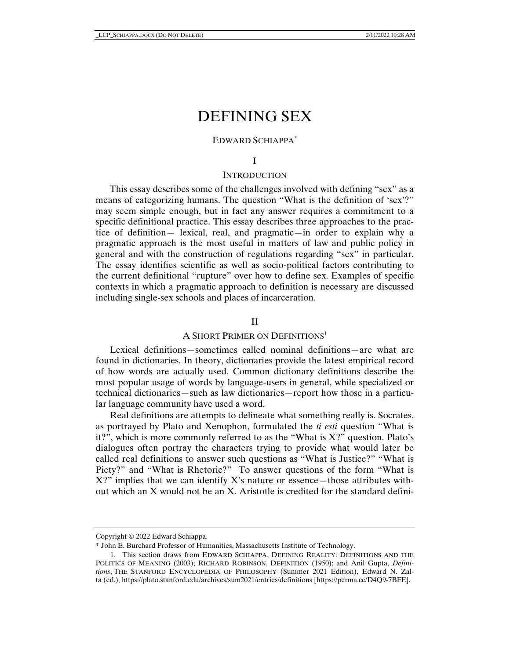# DEFINING SEX

# EDWARD SCHIAPPA\*

### I

# **INTRODUCTION**

This essay describes some of the challenges involved with defining "sex" as a means of categorizing humans. The question "What is the definition of 'sex'?" may seem simple enough, but in fact any answer requires a commitment to a specific definitional practice. This essay describes three approaches to the practice of definition— lexical, real, and pragmatic—in order to explain why a pragmatic approach is the most useful in matters of law and public policy in general and with the construction of regulations regarding "sex" in particular. The essay identifies scientific as well as socio-political factors contributing to the current definitional "rupture" over how to define sex. Examples of specific contexts in which a pragmatic approach to definition is necessary are discussed including single-sex schools and places of incarceration.

# II

# A SHORT PRIMER ON DEFINITIONS<sup>1</sup>

Lexical definitions—sometimes called nominal definitions—are what are found in dictionaries. In theory, dictionaries provide the latest empirical record of how words are actually used. Common dictionary definitions describe the most popular usage of words by language-users in general, while specialized or technical dictionaries—such as law dictionaries—report how those in a particular language community have used a word.

Real definitions are attempts to delineate what something really is. Socrates, as portrayed by Plato and Xenophon, formulated the *ti esti* question "What is it?", which is more commonly referred to as the "What is  $X$ ?" question. Plato's dialogues often portray the characters trying to provide what would later be called real definitions to answer such questions as "What is Justice?" "What is Piety?" and "What is Rhetoric?" To answer questions of the form "What is  $X$ ?" implies that we can identify  $X$ 's nature or essence—those attributes without which an X would not be an X. Aristotle is credited for the standard defini-

Copyright © 2022 Edward Schiappa.

<sup>\*</sup> John E. Burchard Professor of Humanities, Massachusetts Institute of Technology.

 <sup>1.</sup> This section draws from EDWARD SCHIAPPA, DEFINING REALITY: DEFINITIONS AND THE POLITICS OF MEANING (2003); RICHARD ROBINSON, DEFINITION (1950); and Anil Gupta, *Definitions*, THE STANFORD ENCYCLOPEDIA OF PHILOSOPHY (Summer 2021 Edition), Edward N. Zalta (ed.), https://plato.stanford.edu/archives/sum2021/entries/definitions [https://perma.cc/D4Q9-7BFE].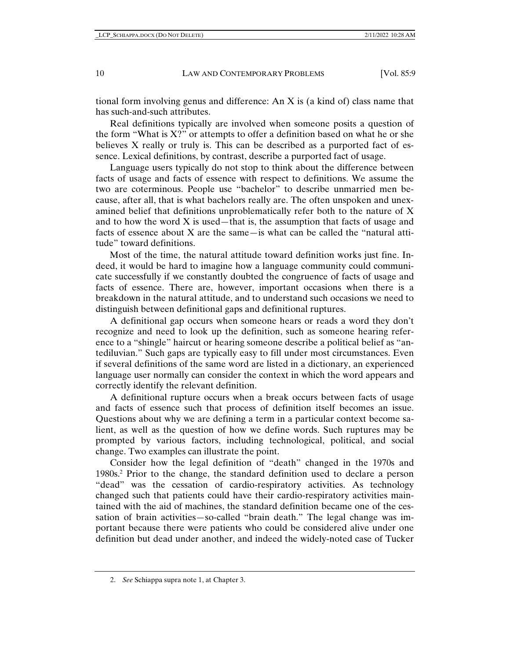tional form involving genus and difference: An X is (a kind of) class name that has such-and-such attributes.

Real definitions typically are involved when someone posits a question of the form "What is  $X$ ?" or attempts to offer a definition based on what he or she believes X really or truly is. This can be described as a purported fact of essence. Lexical definitions, by contrast, describe a purported fact of usage.

Language users typically do not stop to think about the difference between facts of usage and facts of essence with respect to definitions. We assume the two are coterminous. People use "bachelor" to describe unmarried men because, after all, that is what bachelors really are. The often unspoken and unexamined belief that definitions unproblematically refer both to the nature of X and to how the word  $X$  is used—that is, the assumption that facts of usage and facts of essence about X are the same—is what can be called the "natural attitude" toward definitions.

Most of the time, the natural attitude toward definition works just fine. Indeed, it would be hard to imagine how a language community could communicate successfully if we constantly doubted the congruence of facts of usage and facts of essence. There are, however, important occasions when there is a breakdown in the natural attitude, and to understand such occasions we need to distinguish between definitional gaps and definitional ruptures.

A definitional gap occurs when someone hears or reads a word they don't recognize and need to look up the definition, such as someone hearing reference to a "shingle" haircut or hearing someone describe a political belief as "antediluvian." Such gaps are typically easy to fill under most circumstances. Even if several definitions of the same word are listed in a dictionary, an experienced language user normally can consider the context in which the word appears and correctly identify the relevant definition.

A definitional rupture occurs when a break occurs between facts of usage and facts of essence such that process of definition itself becomes an issue. Questions about why we are defining a term in a particular context become salient, as well as the question of how we define words. Such ruptures may be prompted by various factors, including technological, political, and social change. Two examples can illustrate the point.

Consider how the legal definition of "death" changed in the 1970s and 1980s.2 Prior to the change, the standard definition used to declare a person "dead" was the cessation of cardio-respiratory activities. As technology changed such that patients could have their cardio-respiratory activities maintained with the aid of machines, the standard definition became one of the cessation of brain activities—so-called "brain death." The legal change was important because there were patients who could be considered alive under one definition but dead under another, and indeed the widely-noted case of Tucker

 <sup>2.</sup> *See* Schiappa supra note 1, at Chapter 3.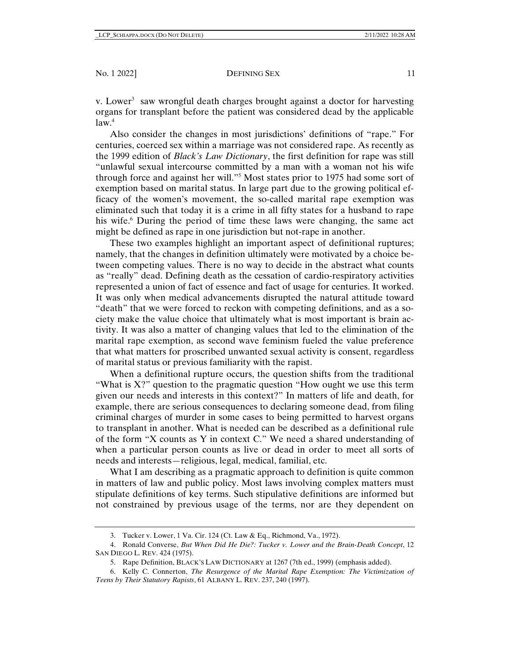v. Lower<sup>3</sup> saw wrongful death charges brought against a doctor for harvesting organs for transplant before the patient was considered dead by the applicable  $law<sup>4</sup>$ 

Also consider the changes in most jurisdictions' definitions of "rape." For centuries, coerced sex within a marriage was not considered rape. As recently as the 1999 edition of *Black's Law Dictionary*, the first definition for rape was still "unlawful sexual intercourse committed by a man with a woman not his wife through force and against her will."5 Most states prior to 1975 had some sort of exemption based on marital status. In large part due to the growing political efficacy of the women's movement, the so-called marital rape exemption was eliminated such that today it is a crime in all fifty states for a husband to rape his wife.<sup>6</sup> During the period of time these laws were changing, the same act might be defined as rape in one jurisdiction but not-rape in another.

These two examples highlight an important aspect of definitional ruptures; namely, that the changes in definition ultimately were motivated by a choice between competing values. There is no way to decide in the abstract what counts as "really" dead. Defining death as the cessation of cardio-respiratory activities represented a union of fact of essence and fact of usage for centuries. It worked. It was only when medical advancements disrupted the natural attitude toward "death" that we were forced to reckon with competing definitions, and as a society make the value choice that ultimately what is most important is brain activity. It was also a matter of changing values that led to the elimination of the marital rape exemption, as second wave feminism fueled the value preference that what matters for proscribed unwanted sexual activity is consent, regardless of marital status or previous familiarity with the rapist.

When a definitional rupture occurs, the question shifts from the traditional "What is X?" question to the pragmatic question "How ought we use this term given our needs and interests in this context?" In matters of life and death, for example, there are serious consequences to declaring someone dead, from filing criminal charges of murder in some cases to being permitted to harvest organs to transplant in another. What is needed can be described as a definitional rule of the form "X counts as Y in context C." We need a shared understanding of when a particular person counts as live or dead in order to meet all sorts of needs and interests—religious, legal, medical, familial, etc.

What I am describing as a pragmatic approach to definition is quite common in matters of law and public policy. Most laws involving complex matters must stipulate definitions of key terms. Such stipulative definitions are informed but not constrained by previous usage of the terms, nor are they dependent on

 <sup>3.</sup> Tucker v. Lower, 1 Va. Cir. 124 (Ct. Law & Eq., Richmond, Va., 1972).

 <sup>4.</sup> Ronald Converse, *But When Did He Die?: Tucker v. Lower and the Brain-Death Concept*, 12 SAN DIEGO L. REV. 424 (1975).

 <sup>5.</sup> Rape Definition, BLACK'S LAW DICTIONARY at 1267 (7th ed., 1999) (emphasis added).

 <sup>6.</sup> Kelly C. Connerton, *The Resurgence of the Marital Rape Exemption: The Victimization of Teens by Their Statutory Rapists*, 61 ALBANY L. REV. 237, 240 (1997).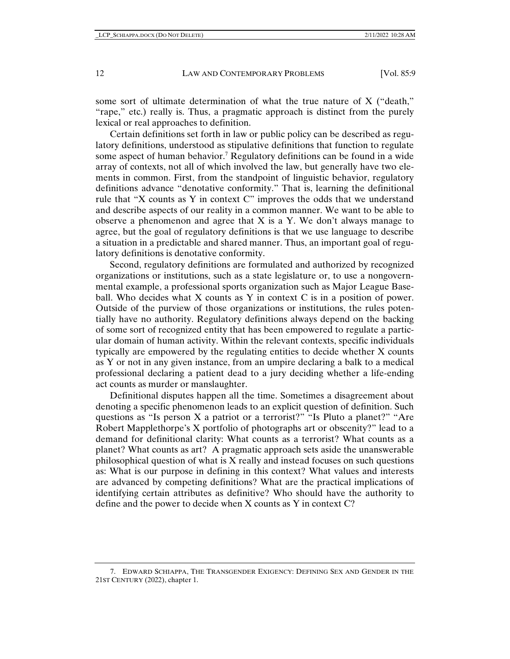some sort of ultimate determination of what the true nature of X ("death," "rape," etc.) really is. Thus, a pragmatic approach is distinct from the purely lexical or real approaches to definition.

Certain definitions set forth in law or public policy can be described as regulatory definitions, understood as stipulative definitions that function to regulate some aspect of human behavior.7 Regulatory definitions can be found in a wide array of contexts, not all of which involved the law, but generally have two elements in common. First, from the standpoint of linguistic behavior, regulatory definitions advance "denotative conformity." That is, learning the definitional rule that "X counts as Y in context C" improves the odds that we understand and describe aspects of our reality in a common manner. We want to be able to observe a phenomenon and agree that  $X$  is a  $Y$ . We don't always manage to agree, but the goal of regulatory definitions is that we use language to describe a situation in a predictable and shared manner. Thus, an important goal of regulatory definitions is denotative conformity.

Second, regulatory definitions are formulated and authorized by recognized organizations or institutions, such as a state legislature or, to use a nongovernmental example, a professional sports organization such as Major League Baseball. Who decides what X counts as Y in context C is in a position of power. Outside of the purview of those organizations or institutions, the rules potentially have no authority. Regulatory definitions always depend on the backing of some sort of recognized entity that has been empowered to regulate a particular domain of human activity. Within the relevant contexts, specific individuals typically are empowered by the regulating entities to decide whether X counts as Y or not in any given instance, from an umpire declaring a balk to a medical professional declaring a patient dead to a jury deciding whether a life-ending act counts as murder or manslaughter.

Definitional disputes happen all the time. Sometimes a disagreement about denoting a specific phenomenon leads to an explicit question of definition. Such questions as "Is person X a patriot or a terrorist?" "Is Pluto a planet?" "Are Robert Mapplethorpe's X portfolio of photographs art or obscenity?" lead to a demand for definitional clarity: What counts as a terrorist? What counts as a planet? What counts as art? A pragmatic approach sets aside the unanswerable philosophical question of what is X really and instead focuses on such questions as: What is our purpose in defining in this context? What values and interests are advanced by competing definitions? What are the practical implications of identifying certain attributes as definitive? Who should have the authority to define and the power to decide when X counts as Y in context C?

 <sup>7.</sup> EDWARD SCHIAPPA, THE TRANSGENDER EXIGENCY: DEFINING SEX AND GENDER IN THE 21ST CENTURY (2022), chapter 1.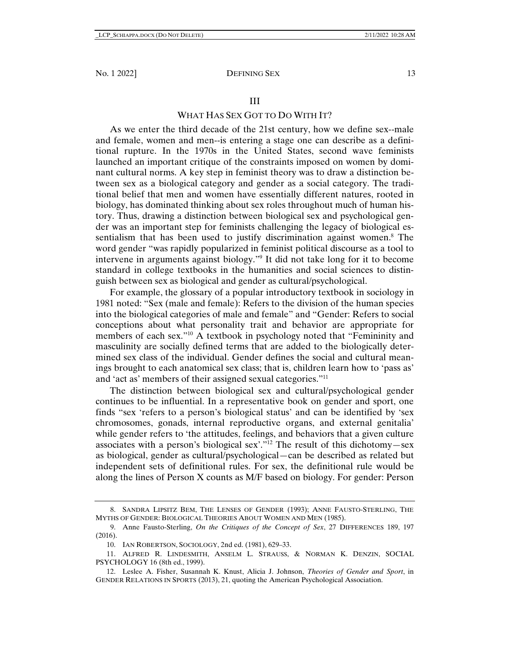## III

# WHAT HAS SEX GOT TO DO WITH IT?

As we enter the third decade of the 21st century, how we define sex--male and female, women and men--is entering a stage one can describe as a definitional rupture. In the 1970s in the United States, second wave feminists launched an important critique of the constraints imposed on women by dominant cultural norms. A key step in feminist theory was to draw a distinction between sex as a biological category and gender as a social category. The traditional belief that men and women have essentially different natures, rooted in biology, has dominated thinking about sex roles throughout much of human history. Thus, drawing a distinction between biological sex and psychological gender was an important step for feminists challenging the legacy of biological essentialism that has been used to justify discrimination against women.<sup>8</sup> The word gender "was rapidly popularized in feminist political discourse as a tool to intervene in arguments against biology."9 It did not take long for it to become standard in college textbooks in the humanities and social sciences to distinguish between sex as biological and gender as cultural/psychological.

For example, the glossary of a popular introductory textbook in sociology in 1981 noted: "Sex (male and female): Refers to the division of the human species into the biological categories of male and female" and "Gender: Refers to social conceptions about what personality trait and behavior are appropriate for members of each sex."<sup>10</sup> A textbook in psychology noted that "Femininity and masculinity are socially defined terms that are added to the biologically determined sex class of the individual. Gender defines the social and cultural meanings brought to each anatomical sex class; that is, children learn how to 'pass as' and 'act as' members of their assigned sexual categories."11

The distinction between biological sex and cultural/psychological gender continues to be influential. In a representative book on gender and sport, one finds "sex 'refers to a person's biological status' and can be identified by 'sex chromosomes, gonads, internal reproductive organs, and external genitalia' while gender refers to 'the attitudes, feelings, and behaviors that a given culture associates with a person's biological sex'."12 The result of this dichotomy—sex as biological, gender as cultural/psychological—can be described as related but independent sets of definitional rules. For sex, the definitional rule would be along the lines of Person X counts as M/F based on biology. For gender: Person

 <sup>8.</sup> SANDRA LIPSITZ BEM, THE LENSES OF GENDER (1993); ANNE FAUSTO-STERLING, THE MYTHS OF GENDER: BIOLOGICAL THEORIES ABOUT WOMEN AND MEN (1985).

 <sup>9.</sup> Anne Fausto-Sterling, *On the Critiques of the Concept of Sex*, 27 DIFFERENCES 189, 197 (2016).

 <sup>10.</sup> IAN ROBERTSON, SOCIOLOGY, 2nd ed. (1981), 629–33.

 <sup>11.</sup> ALFRED R. LINDESMITH, ANSELM L. STRAUSS, & NORMAN K. DENZIN, SOCIAL PSYCHOLOGY 16 (8th ed., 1999).

 <sup>12.</sup> Leslee A. Fisher, Susannah K. Knust, Alicia J. Johnson, *Theories of Gender and Sport*, in GENDER RELATIONS IN SPORTS (2013), 21, quoting the American Psychological Association.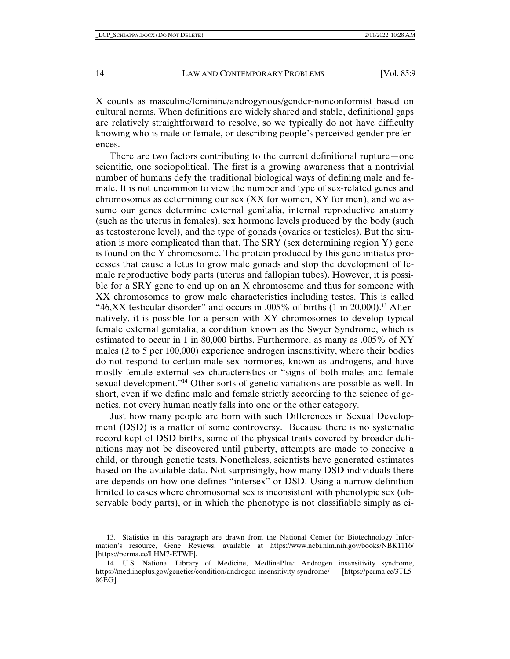X counts as masculine/feminine/androgynous/gender-nonconformist based on cultural norms. When definitions are widely shared and stable, definitional gaps are relatively straightforward to resolve, so we typically do not have difficulty knowing who is male or female, or describing people's perceived gender preferences.

There are two factors contributing to the current definitional rupture—one scientific, one sociopolitical. The first is a growing awareness that a nontrivial number of humans defy the traditional biological ways of defining male and female. It is not uncommon to view the number and type of sex-related genes and chromosomes as determining our sex (XX for women, XY for men), and we assume our genes determine external genitalia, internal reproductive anatomy (such as the uterus in females), sex hormone levels produced by the body (such as testosterone level), and the type of gonads (ovaries or testicles). But the situation is more complicated than that. The  $SRY$  (sex determining region Y) gene is found on the Y chromosome. The protein produced by this gene initiates processes that cause a fetus to grow male gonads and stop the development of female reproductive body parts (uterus and fallopian tubes). However, it is possible for a SRY gene to end up on an X chromosome and thus for someone with XX chromosomes to grow male characteristics including testes. This is called "46,XX testicular disorder" and occurs in .005% of births  $(1 \text{ in } 20,000)$ <sup>13</sup> Alternatively, it is possible for a person with XY chromosomes to develop typical female external genitalia, a condition known as the Swyer Syndrome, which is estimated to occur in 1 in 80,000 births. Furthermore, as many as .005% of XY males (2 to 5 per 100,000) experience androgen insensitivity, where their bodies do not respond to certain male sex hormones, known as androgens, and have mostly female external sex characteristics or "signs of both males and female sexual development."14 Other sorts of genetic variations are possible as well. In short, even if we define male and female strictly according to the science of genetics, not every human neatly falls into one or the other category.

Just how many people are born with such Differences in Sexual Development (DSD) is a matter of some controversy. Because there is no systematic record kept of DSD births, some of the physical traits covered by broader definitions may not be discovered until puberty, attempts are made to conceive a child, or through genetic tests. Nonetheless, scientists have generated estimates based on the available data. Not surprisingly, how many DSD individuals there are depends on how one defines "intersex" or DSD. Using a narrow definition limited to cases where chromosomal sex is inconsistent with phenotypic sex (observable body parts), or in which the phenotype is not classifiable simply as ei-

 <sup>13.</sup> Statistics in this paragraph are drawn from the National Center for Biotechnology Information's resource, Gene Reviews, available at https://www.ncbi.nlm.nih.gov/books/NBK1116/ [https://perma.cc/LHM7-ETWF].

 <sup>14.</sup> U.S. National Library of Medicine, MedlinePlus: Androgen insensitivity syndrome, https://medlineplus.gov/genetics/condition/androgen-insensitivity-syndrome/ [https://perma.cc/3TL5- 86EG].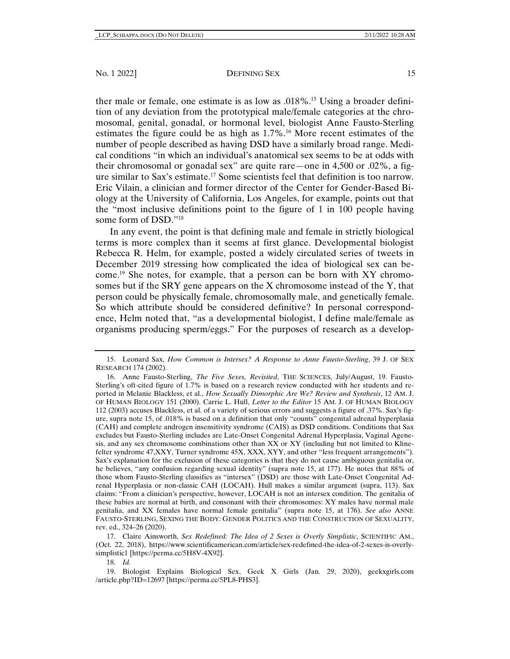#### No. 1 2022] DEFINING SEX 15

ther male or female, one estimate is as low as .018%.15 Using a broader definition of any deviation from the prototypical male/female categories at the chromosomal, genital, gonadal, or hormonal level, biologist Anne Fausto-Sterling estimates the figure could be as high as  $1.7\%$ .<sup>16</sup> More recent estimates of the number of people described as having DSD have a similarly broad range. Medical conditions "in which an individual's anatomical sex seems to be at odds with their chromosomal or gonadal sex" are quite rare—one in 4,500 or .02%, a figure similar to Sax's estimate.17 Some scientists feel that definition is too narrow. Eric Vilain, a clinician and former director of the Center for Gender-Based Biology at the University of California, Los Angeles, for example, points out that the "most inclusive definitions point to the figure of 1 in 100 people having some form of DSD."18

In any event, the point is that defining male and female in strictly biological terms is more complex than it seems at first glance. Developmental biologist Rebecca R. Helm, for example, posted a widely circulated series of tweets in December 2019 stressing how complicated the idea of biological sex can become.19 She notes, for example, that a person can be born with XY chromosomes but if the SRY gene appears on the X chromosome instead of the Y, that person could be physically female, chromosomally male, and genetically female. So which attribute should be considered definitive? In personal correspondence, Helm noted that, "as a developmental biologist, I define male/female as organisms producing sperm/eggs." For the purposes of research as a develop-

 17. Claire Ainsworth, *Sex Redefined: The Idea of 2 Sexes is Overly Simplistic*, SCIENTIFIC AM., (Oct. 22, 2018), https://www.scientificamerican.com/article/sex-redefined-the-idea-of-2-sexes-is-overlysimplistic1 [https://perma.cc/5H8V-4X92].

18. *Id.*

 19. Biologist Explains Biological Sex, Geek X Girls (Jan. 29, 2020), geekxgirls.com /article.php?ID=12697 [https://perma.cc/5PL8-PHS3].

 <sup>15.</sup> Leonard Sax, *How Common is Intersex? A Response to Anne Fausto-Sterling*, 39 J. OF SEX RESEARCH 174 (2002).

 <sup>16.</sup> Anne Fausto-Sterling, *The Five Sexes, Revisited*, THE SCIENCES, July/August, 19. Fausto-Sterling's oft-cited figure of 1.7% is based on a research review conducted with her students and reported in Melanie Blackless, et al., *How Sexually Dimorphic Are We? Review and Synthesis*, 12 AM. J. OF HUMAN BIOLOGY 151 (2000). Carrie L. Hull, *Letter to the Editor* 15 AM. J. OF HUMAN BIOLOGY 112 (2003) accuses Blackless, et al. of a variety of serious errors and suggests a figure of .37%. Sax's figure, supra note 15, of .018% is based on a definition that only "counts" congenital adrenal hyperplasia (CAH) and complete androgen insensitivity syndrome (CAIS) as DSD conditions. Conditions that Sax excludes but Fausto-Sterling includes are Late-Onset Congenital Adrenal Hyperplasia, Vaginal Agenesis, and any sex chromosome combinations other than XX or XY (including but not limited to Klinefelter syndrome 47,XXY, Turner syndrome 45X, XXX, XYY, and other "less frequent arrangements"). Sax's explanation for the exclusion of these categories is that they do not cause ambiguous genitalia or, he believes, "any confusion regarding sexual identity" (supra note 15, at 177). He notes that 88% of those whom Fausto-Sterling classifies as "intersex" (DSD) are those with Late-Onset Congenital Adrenal Hyperplasia or non-classic CAH (LOCAH). Hull makes a similar argument (supra, 113). Sax claims: "From a clinician's perspective, however, LOCAH is not an intersex condition. The genitalia of these babies are normal at birth, and consonant with their chromosomes: XY males have normal male genitalia, and XX females have normal female genitalia" (supra note 15, at 176). *See also* ANNE FAUSTO-STERLING, SEXING THE BODY: GENDER POLITICS AND THE CONSTRUCTION OF SEXUALITY, rev. ed., 324–26 (2020).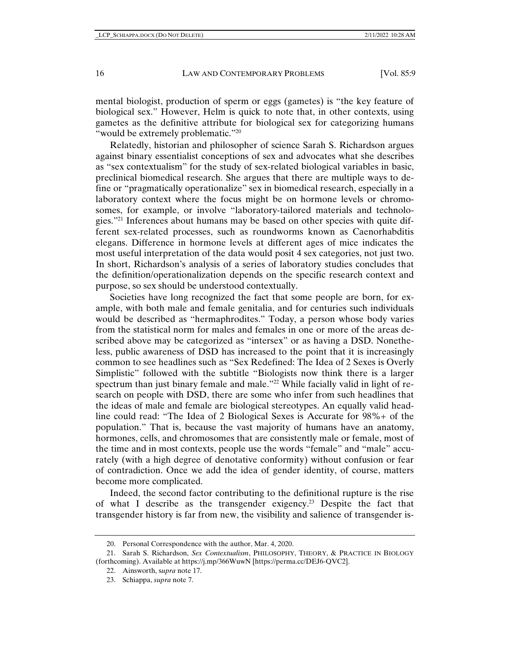mental biologist, production of sperm or eggs (gametes) is "the key feature of biological sex." However, Helm is quick to note that, in other contexts, using gametes as the definitive attribute for biological sex for categorizing humans "would be extremely problematic."<sup>20</sup>

Relatedly, historian and philosopher of science Sarah S. Richardson argues against binary essentialist conceptions of sex and advocates what she describes as "sex contextualism" for the study of sex-related biological variables in basic, preclinical biomedical research. She argues that there are multiple ways to define or "pragmatically operationalize" sex in biomedical research, especially in a laboratory context where the focus might be on hormone levels or chromosomes, for example, or involve "laboratory-tailored materials and technologies."21 Inferences about humans may be based on other species with quite different sex-related processes, such as roundworms known as Caenorhabditis elegans. Difference in hormone levels at different ages of mice indicates the most useful interpretation of the data would posit 4 sex categories, not just two. In short, Richardson's analysis of a series of laboratory studies concludes that the definition/operationalization depends on the specific research context and purpose, so sex should be understood contextually.

Societies have long recognized the fact that some people are born, for example, with both male and female genitalia, and for centuries such individuals would be described as "hermaphrodites." Today, a person whose body varies from the statistical norm for males and females in one or more of the areas described above may be categorized as "intersex" or as having a DSD. Nonetheless, public awareness of DSD has increased to the point that it is increasingly common to see headlines such as "Sex Redefined: The Idea of 2 Sexes is Overly Simplistic" followed with the subtitle "Biologists now think there is a larger spectrum than just binary female and male."22 While facially valid in light of research on people with DSD, there are some who infer from such headlines that the ideas of male and female are biological stereotypes. An equally valid headline could read: "The Idea of 2 Biological Sexes is Accurate for 98%+ of the population." That is, because the vast majority of humans have an anatomy, hormones, cells, and chromosomes that are consistently male or female, most of the time and in most contexts, people use the words "female" and "male" accurately (with a high degree of denotative conformity) without confusion or fear of contradiction. Once we add the idea of gender identity, of course, matters become more complicated.

Indeed, the second factor contributing to the definitional rupture is the rise of what I describe as the transgender exigency.23 Despite the fact that transgender history is far from new, the visibility and salience of transgender is-

 <sup>20.</sup> Personal Correspondence with the author, Mar. 4, 2020.

 <sup>21.</sup> Sarah S. Richardson, *Sex Contextualism*, PHILOSOPHY, THEORY, & PRACTICE IN BIOLOGY (forthcoming). Available at https://j.mp/366WuwN [https://perma.cc/DEJ6-QVC2].

 <sup>22.</sup> Ainsworth, s*upra* note 17.

 <sup>23.</sup> Schiappa, *supra* note 7.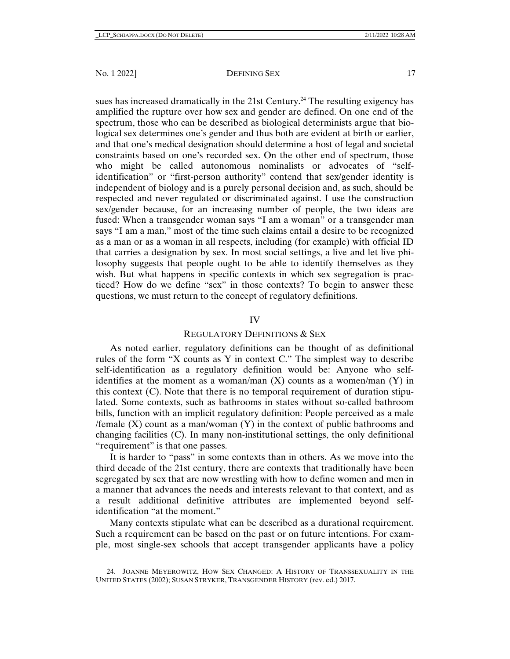sues has increased dramatically in the 21st Century.<sup>24</sup> The resulting exigency has amplified the rupture over how sex and gender are defined. On one end of the spectrum, those who can be described as biological determinists argue that biological sex determines one's gender and thus both are evident at birth or earlier, and that one's medical designation should determine a host of legal and societal constraints based on one's recorded sex. On the other end of spectrum, those who might be called autonomous nominalists or advocates of "selfidentification" or "first-person authority" contend that sex/gender identity is independent of biology and is a purely personal decision and, as such, should be respected and never regulated or discriminated against. I use the construction sex/gender because, for an increasing number of people, the two ideas are fused: When a transgender woman says "I am a woman" or a transgender man says "I am a man," most of the time such claims entail a desire to be recognized as a man or as a woman in all respects, including (for example) with official ID that carries a designation by sex. In most social settings, a live and let live philosophy suggests that people ought to be able to identify themselves as they wish. But what happens in specific contexts in which sex segregation is practiced? How do we define "sex" in those contexts? To begin to answer these questions, we must return to the concept of regulatory definitions.

# IV

# REGULATORY DEFINITIONS & SEX

As noted earlier, regulatory definitions can be thought of as definitional rules of the form "X counts as Y in context C." The simplest way to describe self-identification as a regulatory definition would be: Anyone who selfidentifies at the moment as a woman/man  $(X)$  counts as a women/man  $(Y)$  in this context (C). Note that there is no temporal requirement of duration stipulated. Some contexts, such as bathrooms in states without so-called bathroom bills, function with an implicit regulatory definition: People perceived as a male /female  $(X)$  count as a man/woman  $(Y)$  in the context of public bathrooms and changing facilities (C). In many non-institutional settings, the only definitional "requirement" is that one passes.

It is harder to "pass" in some contexts than in others. As we move into the third decade of the 21st century, there are contexts that traditionally have been segregated by sex that are now wrestling with how to define women and men in a manner that advances the needs and interests relevant to that context, and as a result additional definitive attributes are implemented beyond selfidentification "at the moment."

Many contexts stipulate what can be described as a durational requirement. Such a requirement can be based on the past or on future intentions. For example, most single-sex schools that accept transgender applicants have a policy

 <sup>24.</sup> JOANNE MEYEROWITZ, HOW SEX CHANGED: A HISTORY OF TRANSSEXUALITY IN THE UNITED STATES (2002); SUSAN STRYKER, TRANSGENDER HISTORY (rev. ed.) 2017.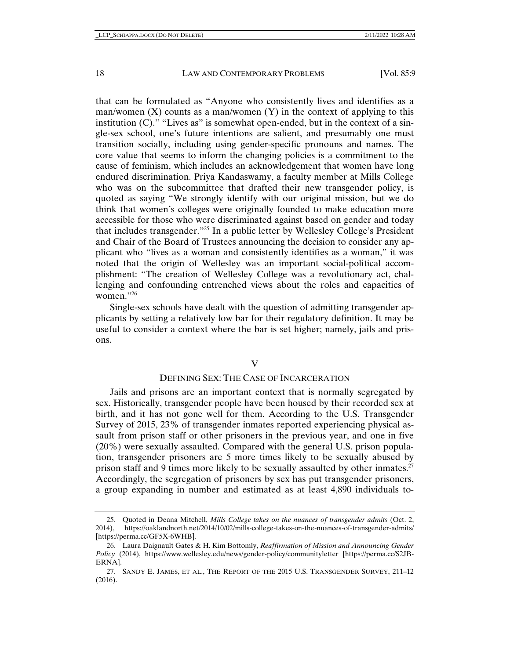that can be formulated as "Anyone who consistently lives and identifies as a man/women  $(X)$  counts as a man/women  $(Y)$  in the context of applying to this institution  $(C)$ ." "Lives as" is somewhat open-ended, but in the context of a single-sex school, one's future intentions are salient, and presumably one must transition socially, including using gender-specific pronouns and names. The core value that seems to inform the changing policies is a commitment to the cause of feminism, which includes an acknowledgement that women have long endured discrimination. Priya Kandaswamy, a faculty member at Mills College who was on the subcommittee that drafted their new transgender policy, is quoted as saying "We strongly identify with our original mission, but we do think that women's colleges were originally founded to make education more accessible for those who were discriminated against based on gender and today that includes transgender."25 In a public letter by Wellesley College's President and Chair of the Board of Trustees announcing the decision to consider any applicant who "lives as a woman and consistently identifies as a woman," it was noted that the origin of Wellesley was an important social-political accomplishment: "The creation of Wellesley College was a revolutionary act, challenging and confounding entrenched views about the roles and capacities of women."26

Single-sex schools have dealt with the question of admitting transgender applicants by setting a relatively low bar for their regulatory definition. It may be useful to consider a context where the bar is set higher; namely, jails and prisons.

## V

# DEFINING SEX: THE CASE OF INCARCERATION

Jails and prisons are an important context that is normally segregated by sex. Historically, transgender people have been housed by their recorded sex at birth, and it has not gone well for them. According to the U.S. Transgender Survey of 2015, 23% of transgender inmates reported experiencing physical assault from prison staff or other prisoners in the previous year, and one in five (20%) were sexually assaulted. Compared with the general U.S. prison population, transgender prisoners are 5 more times likely to be sexually abused by prison staff and 9 times more likely to be sexually assaulted by other inmates.<sup>27</sup> Accordingly, the segregation of prisoners by sex has put transgender prisoners, a group expanding in number and estimated as at least 4,890 individuals to-

 <sup>25.</sup> Quoted in Deana Mitchell, *Mills College takes on the nuances of transgender admits* (Oct. 2, 2014), https://oaklandnorth.net/2014/10/02/mills-college-takes-on-the-nuances-of-transgender-admits/ [https://perma.cc/GF5X-6WHB].

 <sup>26.</sup> Laura Daignault Gates & H. Kim Bottomly, *Reaffirmation of Mission and Announcing Gender Policy* (2014), https://www.wellesley.edu/news/gender-policy/communityletter [https://perma.cc/S2JB-ERNA].

 <sup>27.</sup> SANDY E. JAMES, ET AL., THE REPORT OF THE 2015 U.S. TRANSGENDER SURVEY, 211–12 (2016).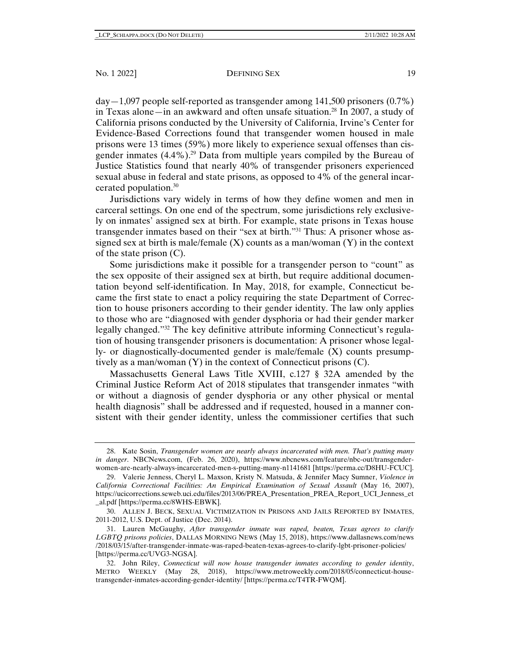$day-1,097$  people self-reported as transgender among 141,500 prisoners  $(0.7\%)$ in Texas alone—in an awkward and often unsafe situation.28 In 2007, a study of California prisons conducted by the University of California, Irvine's Center for Evidence-Based Corrections found that transgender women housed in male prisons were 13 times (59%) more likely to experience sexual offenses than cisgender inmates  $(4.4\%)$ .<sup>29</sup> Data from multiple years compiled by the Bureau of Justice Statistics found that nearly 40% of transgender prisoners experienced sexual abuse in federal and state prisons, as opposed to 4% of the general incarcerated population.30

Jurisdictions vary widely in terms of how they define women and men in carceral settings. On one end of the spectrum, some jurisdictions rely exclusively on inmates' assigned sex at birth. For example, state prisons in Texas house transgender inmates based on their "sex at birth."31 Thus: A prisoner whose assigned sex at birth is male/female  $(X)$  counts as a man/woman  $(Y)$  in the context of the state prison (C).

Some jurisdictions make it possible for a transgender person to "count" as the sex opposite of their assigned sex at birth, but require additional documentation beyond self-identification. In May, 2018, for example, Connecticut became the first state to enact a policy requiring the state Department of Correction to house prisoners according to their gender identity. The law only applies to those who are "diagnosed with gender dysphoria or had their gender marker legally changed."32 The key definitive attribute informing Connecticut's regulation of housing transgender prisoners is documentation: A prisoner whose legally- or diagnostically-documented gender is male/female (X) counts presumptively as a man/woman (Y) in the context of Connecticut prisons (C).

Massachusetts General Laws Title XVIII, c.127 § 32A amended by the Criminal Justice Reform Act of 2018 stipulates that transgender inmates "with or without a diagnosis of gender dysphoria or any other physical or mental health diagnosis" shall be addressed and if requested, housed in a manner consistent with their gender identity, unless the commissioner certifies that such

 <sup>28.</sup> Kate Sosin, *Transgender women are nearly always incarcerated with men. That's putting many in danger*. NBCNews.com, (Feb. 26, 2020), https://www.nbcnews.com/feature/nbc-out/transgenderwomen-are-nearly-always-incarcerated-men-s-putting-many-n1141681 [https://perma.cc/D8HU-FCUC].

 <sup>29.</sup> Valerie Jenness, Cheryl L. Maxson, Kristy N. Matsuda, & Jennifer Macy Sumner, *Violence in California Correctional Facilities: An Empirical Examination of Sexual Assault* (May 16, 2007), https://ucicorrections.seweb.uci.edu/files/2013/06/PREA\_Presentation\_PREA\_Report\_UCI\_Jenness\_et \_al.pdf [https://perma.cc/8WHS-EBWK].

 <sup>30.</sup> ALLEN J. BECK, SEXUAL VICTIMIZATION IN PRISONS AND JAILS REPORTED BY INMATES, 2011-2012, U.S. Dept. of Justice (Dec. 2014).

 <sup>31.</sup> Lauren McGaughy, *After transgender inmate was raped, beaten, Texas agrees to clarify LGBTQ prisons policies*, DALLAS MORNING NEWS (May 15, 2018), https://www.dallasnews.com/news /2018/03/15/after-transgender-inmate-was-raped-beaten-texas-agrees-to-clarify-lgbt-prisoner-policies/ [https://perma.cc/UVG3-NGSA].

 <sup>32.</sup> John Riley, *Connecticut will now house transgender inmates according to gender identity*, METRO WEEKLY (May 28, 2018), https://www.metroweekly.com/2018/05/connecticut-housetransgender-inmates-according-gender-identity/ [https://perma.cc/T4TR-FWQM].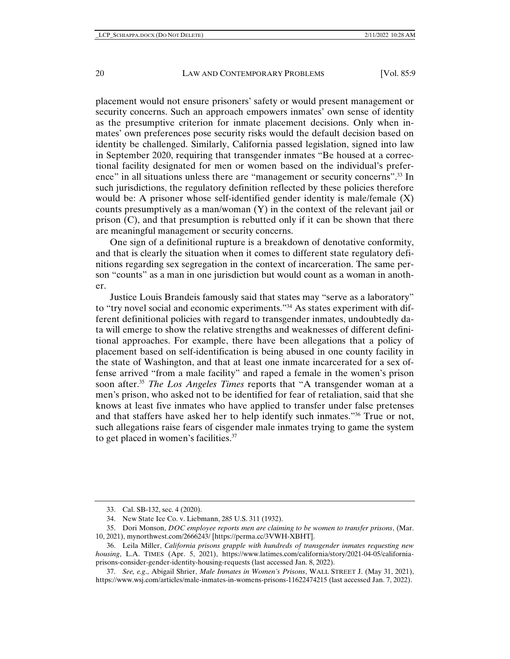placement would not ensure prisoners' safety or would present management or security concerns. Such an approach empowers inmates' own sense of identity as the presumptive criterion for inmate placement decisions. Only when inmates' own preferences pose security risks would the default decision based on identity be challenged. Similarly, California passed legislation, signed into law in September 2020, requiring that transgender inmates "Be housed at a correctional facility designated for men or women based on the individual's preference" in all situations unless there are "management or security concerns".33 In such jurisdictions, the regulatory definition reflected by these policies therefore would be: A prisoner whose self-identified gender identity is male/female (X) counts presumptively as a man/woman (Y) in the context of the relevant jail or prison (C), and that presumption is rebutted only if it can be shown that there are meaningful management or security concerns.

One sign of a definitional rupture is a breakdown of denotative conformity, and that is clearly the situation when it comes to different state regulatory definitions regarding sex segregation in the context of incarceration. The same person "counts" as a man in one jurisdiction but would count as a woman in another.

Justice Louis Brandeis famously said that states may "serve as a laboratory" to "try novel social and economic experiments."<sup>34</sup> As states experiment with different definitional policies with regard to transgender inmates, undoubtedly data will emerge to show the relative strengths and weaknesses of different definitional approaches. For example, there have been allegations that a policy of placement based on self-identification is being abused in one county facility in the state of Washington, and that at least one inmate incarcerated for a sex offense arrived "from a male facility" and raped a female in the women's prison soon after.<sup>35</sup> *The Los Angeles Times* reports that "A transgender woman at a men's prison, who asked not to be identified for fear of retaliation, said that she knows at least five inmates who have applied to transfer under false pretenses and that staffers have asked her to help identify such inmates."36 True or not, such allegations raise fears of cisgender male inmates trying to game the system to get placed in women's facilities.<sup>37</sup>

 <sup>33.</sup> Cal. SB-132, sec. 4 (2020).

 <sup>34.</sup> New State Ice Co. v. Liebmann, 285 U.S. 311 (1932).

 <sup>35.</sup> Dori Monson, *DOC employee reports men are claiming to be women to transfer prisons*, (Mar. 10, 2021), mynorthwest.com/2666243/ [https://perma.cc/3VWH-XBHT].

 <sup>36.</sup> Leila Miller, *California prisons grapple with hundreds of transgender inmates requesting new housing*, L.A. TIMES (Apr. 5, 2021), https://www.latimes.com/california/story/2021-04-05/californiaprisons-consider-gender-identity-housing-requests (last accessed Jan. 8, 2022).

 <sup>37.</sup> *See, e.g*., Abigail Shrier, *Male Inmates in Women's Prisons*, WALL STREET J. (May 31, 2021), https://www.wsj.com/articles/male-inmates-in-womens-prisons-11622474215 (last accessed Jan. 7, 2022).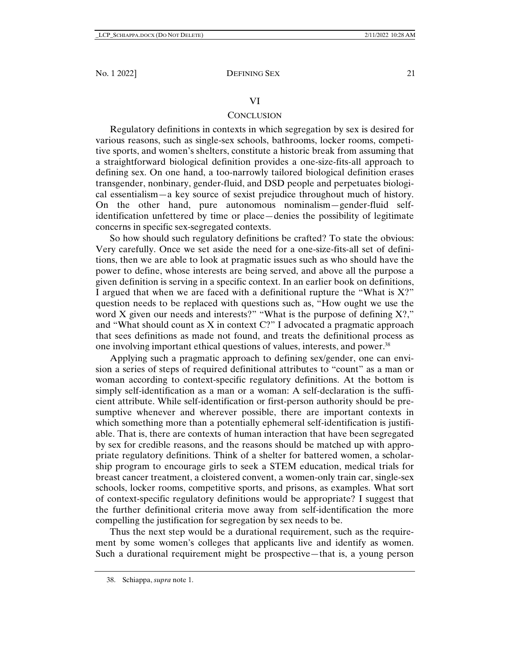# VI

# **CONCLUSION**

Regulatory definitions in contexts in which segregation by sex is desired for various reasons, such as single-sex schools, bathrooms, locker rooms, competitive sports, and women's shelters, constitute a historic break from assuming that a straightforward biological definition provides a one-size-fits-all approach to defining sex. On one hand, a too-narrowly tailored biological definition erases transgender, nonbinary, gender-fluid, and DSD people and perpetuates biological essentialism—a key source of sexist prejudice throughout much of history. On the other hand, pure autonomous nominalism—gender-fluid selfidentification unfettered by time or place—denies the possibility of legitimate concerns in specific sex-segregated contexts.

So how should such regulatory definitions be crafted? To state the obvious: Very carefully. Once we set aside the need for a one-size-fits-all set of definitions, then we are able to look at pragmatic issues such as who should have the power to define, whose interests are being served, and above all the purpose a given definition is serving in a specific context. In an earlier book on definitions, I argued that when we are faced with a definitional rupture the "What is  $X$ ?" question needs to be replaced with questions such as, "How ought we use the word X given our needs and interests?" "What is the purpose of defining X?," and "What should count as X in context C?" I advocated a pragmatic approach that sees definitions as made not found, and treats the definitional process as one involving important ethical questions of values, interests, and power.<sup>38</sup>

Applying such a pragmatic approach to defining sex/gender, one can envision a series of steps of required definitional attributes to "count" as a man or woman according to context-specific regulatory definitions. At the bottom is simply self-identification as a man or a woman: A self-declaration is the sufficient attribute. While self-identification or first-person authority should be presumptive whenever and wherever possible, there are important contexts in which something more than a potentially ephemeral self-identification is justifiable. That is, there are contexts of human interaction that have been segregated by sex for credible reasons, and the reasons should be matched up with appropriate regulatory definitions. Think of a shelter for battered women, a scholarship program to encourage girls to seek a STEM education, medical trials for breast cancer treatment, a cloistered convent, a women-only train car, single-sex schools, locker rooms, competitive sports, and prisons, as examples. What sort of context-specific regulatory definitions would be appropriate? I suggest that the further definitional criteria move away from self-identification the more compelling the justification for segregation by sex needs to be.

Thus the next step would be a durational requirement, such as the requirement by some women's colleges that applicants live and identify as women. Such a durational requirement might be prospective—that is, a young person

 <sup>38.</sup> Schiappa, *supra* note 1.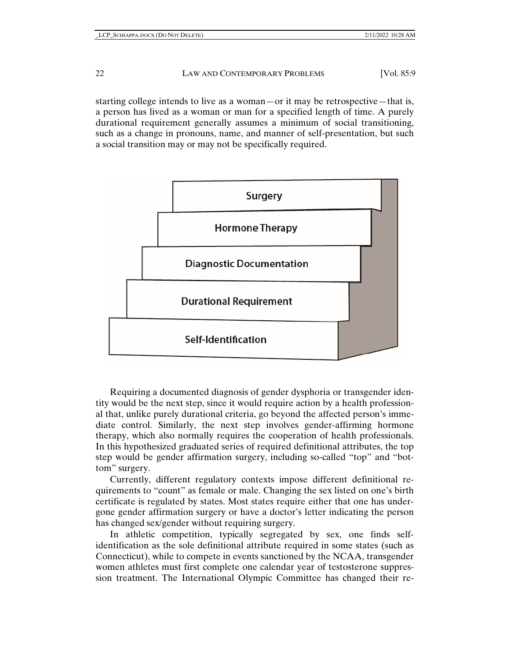starting college intends to live as a woman—or it may be retrospective—that is, a person has lived as a woman or man for a specified length of time. A purely durational requirement generally assumes a minimum of social transitioning, such as a change in pronouns, name, and manner of self-presentation, but such a social transition may or may not be specifically required.



Requiring a documented diagnosis of gender dysphoria or transgender identity would be the next step, since it would require action by a health professional that, unlike purely durational criteria, go beyond the affected person's immediate control. Similarly, the next step involves gender-affirming hormone therapy, which also normally requires the cooperation of health professionals. In this hypothesized graduated series of required definitional attributes, the top step would be gender affirmation surgery, including so-called "top" and "bottom" surgery.

Currently, different regulatory contexts impose different definitional requirements to "count" as female or male. Changing the sex listed on one's birth certificate is regulated by states. Most states require either that one has undergone gender affirmation surgery or have a doctor's letter indicating the person has changed sex/gender without requiring surgery.

In athletic competition, typically segregated by sex, one finds selfidentification as the sole definitional attribute required in some states (such as Connecticut), while to compete in events sanctioned by the NCAA, transgender women athletes must first complete one calendar year of testosterone suppression treatment. The International Olympic Committee has changed their re-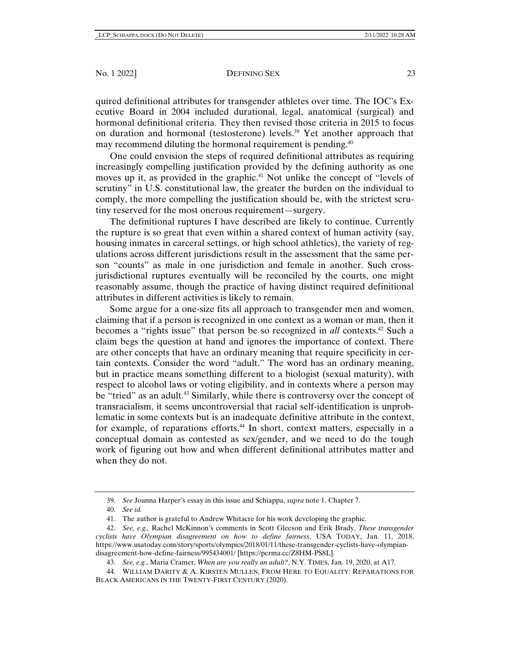#### No. 1 2022] DEFINING SEX 23

quired definitional attributes for transgender athletes over time. The IOC's Executive Board in 2004 included durational, legal, anatomical (surgical) and hormonal definitional criteria. They then revised those criteria in 2015 to focus on duration and hormonal (testosterone) levels.39 Yet another approach that may recommend diluting the hormonal requirement is pending.<sup>40</sup>

One could envision the steps of required definitional attributes as requiring increasingly compelling justification provided by the defining authority as one moves up it, as provided in the graphic.<sup>41</sup> Not unlike the concept of "levels of scrutiny" in U.S. constitutional law, the greater the burden on the individual to comply, the more compelling the justification should be, with the strictest scrutiny reserved for the most onerous requirement—surgery.

The definitional ruptures I have described are likely to continue. Currently the rupture is so great that even within a shared context of human activity (say, housing inmates in carceral settings, or high school athletics), the variety of regulations across different jurisdictions result in the assessment that the same person "counts" as male in one jurisdiction and female in another. Such crossjurisdictional ruptures eventually will be reconciled by the courts, one might reasonably assume, though the practice of having distinct required definitional attributes in different activities is likely to remain.

Some argue for a one-size fits all approach to transgender men and women, claiming that if a person is recognized in one context as a woman or man, then it becomes a "rights issue" that person be so recognized in *all* contexts.42 Such a claim begs the question at hand and ignores the importance of context. There are other concepts that have an ordinary meaning that require specificity in certain contexts. Consider the word "adult." The word has an ordinary meaning, but in practice means something different to a biologist (sexual maturity), with respect to alcohol laws or voting eligibility, and in contexts where a person may be "tried" as an adult.<sup>43</sup> Similarly, while there is controversy over the concept of transracialism, it seems uncontroversial that racial self-identification is unproblematic in some contexts but is an inadequate definitive attribute in the context, for example, of reparations efforts.44 In short, context matters, especially in a conceptual domain as contested as sex/gender, and we need to do the tough work of figuring out how and when different definitional attributes matter and when they do not.

 <sup>39.</sup> *See* Joanna Harper's essay in this issue and Schiappa, *supra* note 1, Chapter 7.

 <sup>40.</sup> *See id.* 

 <sup>41.</sup> The author is grateful to Andrew Whitacre for his work developing the graphic.

 <sup>42.</sup> *See, e.g.,* Rachel McKinnon's comments in Scott Gleeson and Erik Brady, *These transgender cyclists have Olympian disagreement on how to define fairness*, USA TODAY, Jan. 11, 2018, https://www.usatoday.com/story/sports/olympics/2018/01/11/these-transgender-cyclists-have-olympiandisagreement-how-define-fairness/995434001/ [https://perma.cc/Z8HM-PS8L].

 <sup>43.</sup> *See, e.g.*, Maria Cramer, *When are you really an adult?*, N.Y. TIMES, Jan. 19, 2020, at A17.

 <sup>44.</sup> WILLIAM DARITY & A. KIRSTEN MULLEN, FROM HERE TO EQUALITY: REPARATIONS FOR BLACK AMERICANS IN THE TWENTY-FIRST CENTURY (2020).